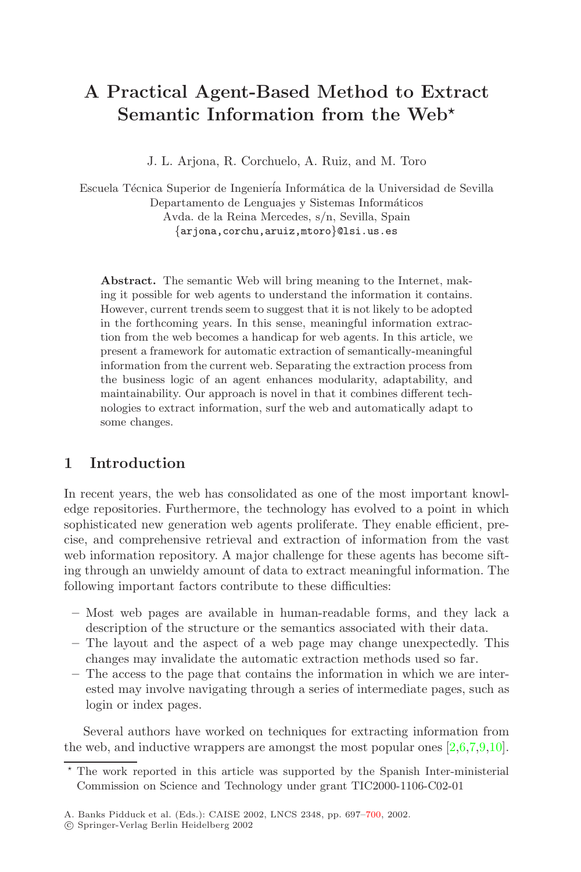# <span id="page-0-0"></span>**A Practical Agent-Based Method to Extract Semantic Information from the Web**

J. L. Arjona, R. Corchuelo, A. Ruiz, and M. Toro

Escuela Técnica Superior de Ingeniería Informática de la Universidad de Sevilla Departamento de Lenguajes y Sistemas Informáticos Avda. de la Reina Mercedes, s/n, Sevilla, Spain *{*arjona,corchu,aruiz,mtoro*}*@lsi.us.es

Abstract. The semantic Web will bring meaning to the Internet, making it possible for web agents to understand the information it contains. However, current trends seem to suggest that it is not likely to be adopted in the forthcoming years. In this sense, meaningful information extraction from the web becomes a handicap for web agents. In this article,we present a framework for automatic extraction of semantically-meaningful information from the current web. Separating the extraction process from the business logic of an agent enhances modularity, adaptability, and maintainability. Our approach is novel in that it combines different technologies to extract information, surf the web and automatically adapt to some changes.

## **1 Introduction**

In recent years, the web has consolidated as one of the most important knowledge repositories. Furthermore, the technology has evolved to a point in which sophisticated new generation web agents proliferate. They enable efficient, precise, and comprehensive retrieval and extraction of information from the vast web information repository. A major challenge for these agents has become sifting through an unwieldy amount of data to extract meaningful information. The following important factors contribute to these difficulties:

- **–** Most web pages are available in human-readable forms, and they lacka description of the structure or the semantics associated with their data.
- **–** The layout and the aspect of a web page may change unexpectedly. This changes may invalidate the automatic extraction methods used so far.
- **–** The access to the page that contains the information in which we are interested may involve navigating through a serie[s](#page-3-0) [o](#page-3-0)[f](#page-3-1) [in](#page-3-2)[te](#page-3-3)[rm](#page-3-4)ediate pages, such as login or index pages.

Several authors have worked on techniques for extracting information from the web, and inductive wrappers a[re a](#page-3-5)mongst the most popular ones  $[2,6,7,9,10]$ .

<sup>\*</sup> The work reported in this article was supported by the Spanish Inter-ministerial Commission on Science and Technology under grant TIC2000-1106-C02-01

A. Banks Pidduck et al. (Eds.): CAISE 2002, LNCS 2348, pp. 697–700, 2002.

c Springer-Verlag Berlin Heidelberg 2002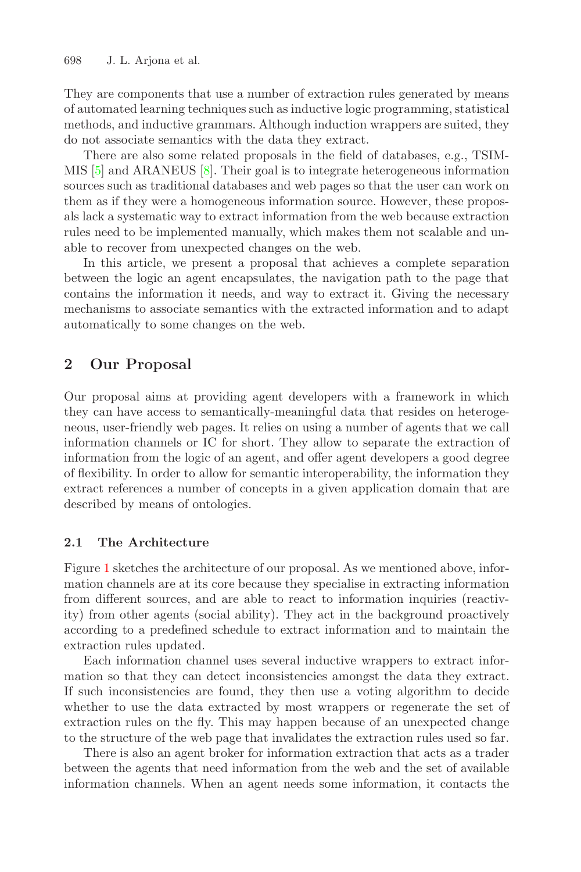<span id="page-1-0"></span>698 J. L. Arjona et al.

They are components that use a number of extraction rules generated by means of au[to](#page-3-6)mated learning techniques such as inductive logic programming, statistical methods, and inductive grammars. Although induction wrappers are suited, they do not associate semantics with the data they extract.

There are also some related proposals in the field of databases, e.g., TSIM-MIS [5] and ARANEUS [8]. Their goal is to integrate heterogeneous information sources such as traditional databases and web pages so that the user can workon them as if they were a homogeneous information source. However, these proposals lacka systematic way to extract information from the web because extraction rules need to be implemented manually, which makes them not scalable and unable to recover from unexpected changes on the web.

In this article, we present a proposal that achieves a complete separation between the logic an agent encapsulates, the navigation path to the page that contains the information it needs, and way to extract it. Giving the necessary mechanisms to associate semantics with the extracted information and to adapt automatically to some changes on the web.

### **2 Our Proposal**

Our proposal aims at providing agent developers with a frameworkin which they can have access to semantically-meaningful data that resides on heterogeneous, user-friendly web pages. It relies on using a number of agents that we call information channels or IC for short. They allow to separate the extraction of information from the logic of an agent, and offer agent developers a good degree of flexibility. In order to allow for semantic interoperability, the information they extract references a number of concepts in a given application domain that are described by means of ontologies.

Figure 1 sketches the architecture of our proposal. As we mentioned above, information channels are at its core because they specialise in extracting information from different sources, and are able to react to information inquiries (reactivity) from other agents (social ability). They act in the background proactively according to a predefined schedule to extract information and to maintain the extraction rules updated.

Each information channel uses several inductive wrappers to extract information so that they can detect inconsistencies amongst the data they extract. If such inconsistencies are found, they then use a voting algorithm to decide whether to use the data extracted by most wrappers or regenerate the set of extraction rules on the fly. This may happen because of an unexpected change to the structure of the web page that invalidates the extraction rules used so far.

There is also an agent broker for information extraction that acts as a trader between the agents that need information from the web and the set of available information channels. When an agent needs some information, it contacts the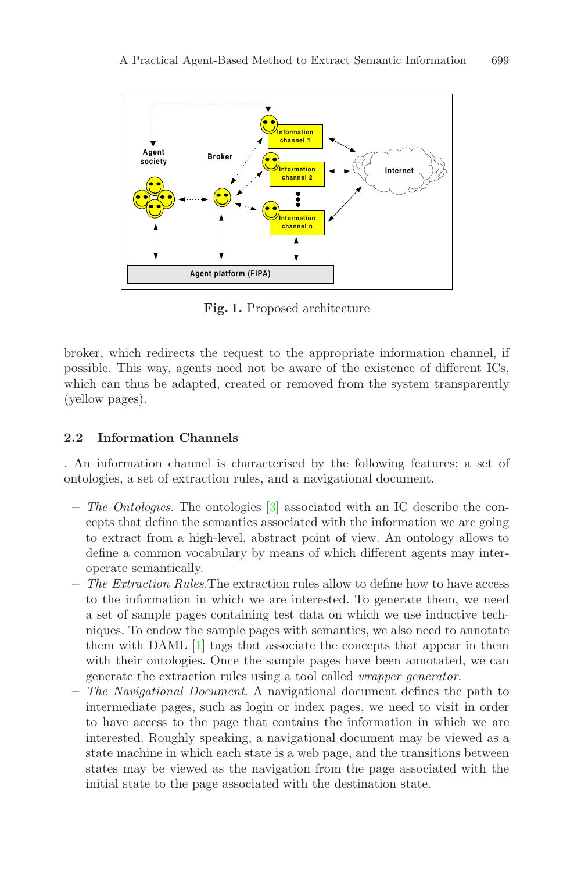<span id="page-2-0"></span>

**Fig. 1.** Proposed architecture

broker, which redirects the request to the appropriate information channel, if possible. This way, agents need not be aware of the existence of different ICs, which can thus be adapted, created or removed from the system transparently (yellow pages).

. An information channel is characterised by the following features: a set of ontologies, a set of extraction rules, and a navigational document.

- **–** *The Ontologies*. The ontologies [3] associated with an IC describe the concepts that define the semantics associated with the information we are going to extract from a high-level, abstract point of view. An ontology allows to define a common vocabulary by means of which different agents may interoperate semantically.
- **–** *The Extraction Rules*.The extraction rules allow to define how to have access to the information in which we are interested. To generate them, we need a set of sample pages containing test data on which we use inductive techniques. To endow the sample pages with semantics, we also need to annotate them with DAML [1] tags that associate the concepts that appear in them with their ontologies. Once the sample pages have been annotated, we can generate the extraction rules using a tool called *wrapper generator*.
- **–** *The Navigational Document*. A navigational document defines the path to intermediate pages, such as login or index pages, we need to visit in order to have access to the page that contains the information in which we are interested. Roughly speaking, a navigational document may be viewed as a state machine in which each state is a web page, and the transitions between states may be viewed as the navigation from the page associated with the initial state to the page associated with the destination state.